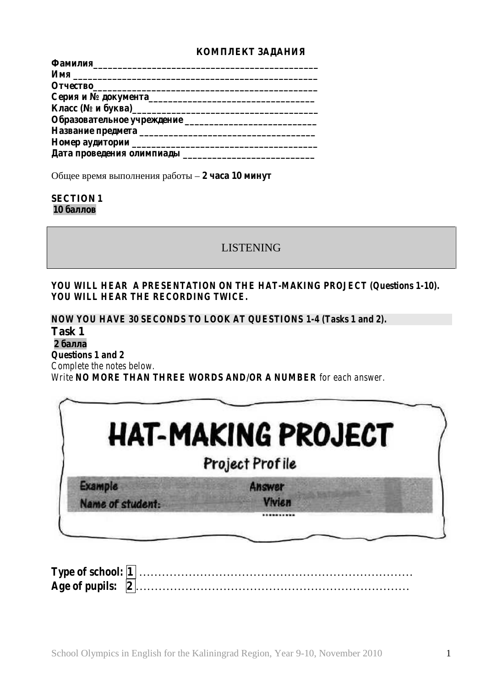

#### **SECTION 1 10**

# LISTENING

### *YOU WILL HEAR A PRESENTATION ON THE HAT-MAKING PROJECT (Questions 1-10). YOU WILL HEAR THE RECORDING TWICE.*

*NOW YOU HAVE 30 SECONDS TO LOOK AT QUESTIONS 1-4 (Tasks 1 and 2).* **Task 1**

#### **2 балл**

*Questions 1 and 2*

*Complete the notes below.*

*Write NO MORE THAN THREE WORDS AND/OR A NUMBER for each answer.*

|                  | <b>HAT-MAKING PROJECT</b> |
|------------------|---------------------------|
|                  | Project Profile           |
| <b>Example</b>   | Answer                    |
| Name of student: | <b>Vivien</b>             |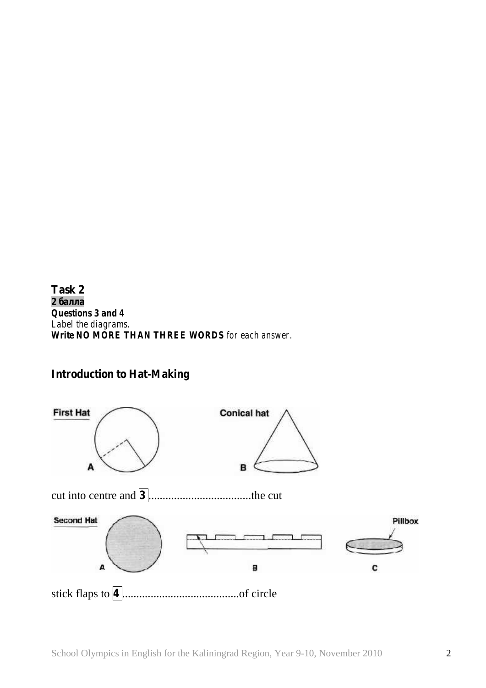**Task 2 2 балла** *Questions 3 and 4 Label the diagrams. Write NO MORE THAN THREE WORDS for each answer.*

# **Introduction to Hat-Making**

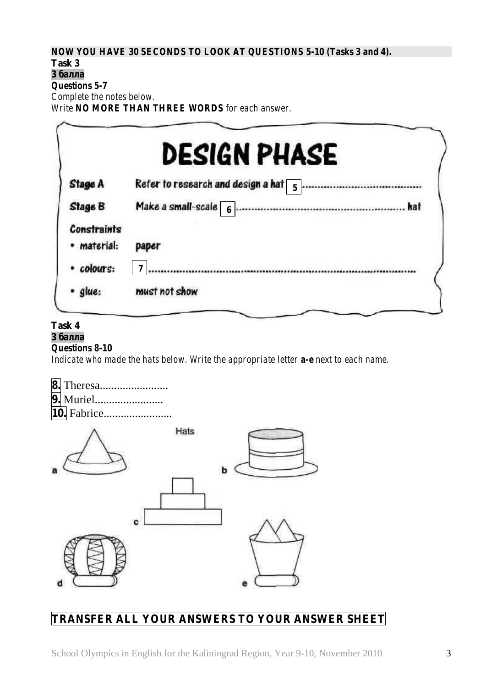*NOW YOU HAVE 30 SECONDS TO LOOK AT QUESTIONS 5-10 (Tasks 3 and 4).*

# **Task 3**

**3 балл** *Questions 5-7*

*Complete the notes below.*

*Write NO MORE THAN THREE WORDS for each answer.*

|                                   | <b>DESIGN PHASE</b>                              |
|-----------------------------------|--------------------------------------------------|
| <b>Stage A</b>                    | Refer to research and design a hat $\frac{1}{5}$ |
| <b>Stage B</b>                    | hat                                              |
| <b>Constraints</b><br>· material: | paper                                            |
| · colours:                        | 7                                                |
| · glue:                           | must not show                                    |

### **Task 4**

#### **3 балл** *Questions 8-10*

*Indicate who made the hats below. Write the appropriate letter a-e next to each name.*

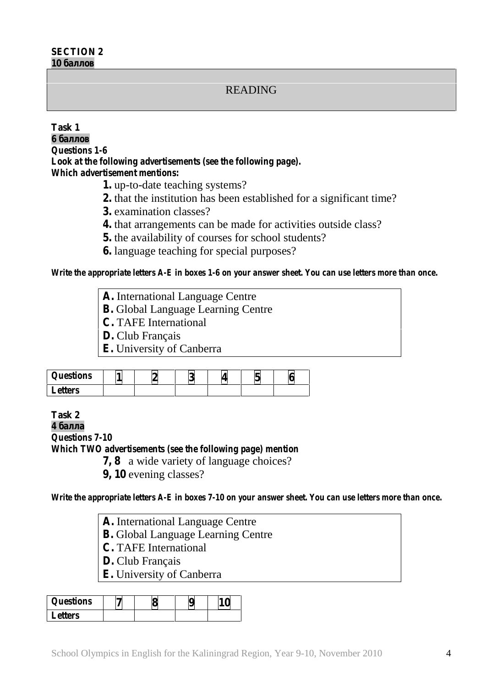### READING

#### **Task 1**

**6 баллов** *Questions 1-6 Look at the following advertisements (see the following page). Which advertisement mentions:*

**1.** up-to-date teaching systems?

**2.** that the institution has been established for a significant time?

**3.** examination classes?

**4.** that arrangements can be made for activities outside class?

**5.** the availability of courses for school students?

**6.** language teaching for special purposes?

*Write the appropriate letters A-E in boxes 1-6 on your answer sheet. You can use letters more than once.*

| A. International Language Centre          |
|-------------------------------------------|
| <b>B.</b> Global Language Learning Centre |
| <b>C.</b> TAFE International              |

**D.** Club Français

**E.** University of Canberra

| <i><b>Questions</b></i> |  |  | NJ |
|-------------------------|--|--|----|
| <b>Letters</b>          |  |  |    |

**Task 2**

**4 балл**

*Questions 7-10 Which TWO advertisements (see the following page) mention* **7, 8** a wide variety of language choices?

**9, 10** evening classes?

*Write the appropriate letters A-E in boxes 7-10 on your answer sheet. You can use letters more than once.*

**A.** International Language Centre **B.** Global Language Learning Centre **C.** TAFE International **D.** Club Français **E.** University of Canberra

| <i><b>Questions</b></i> |  |  |
|-------------------------|--|--|
| <b>Letters</b>          |  |  |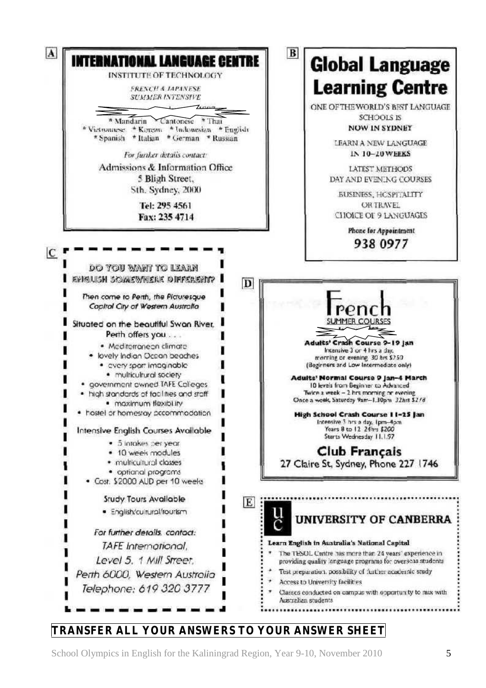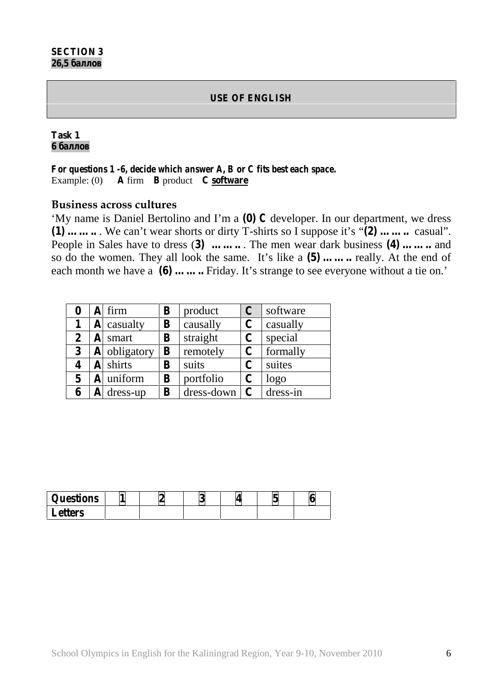### **USE OF ENGLISH**

### **Task 1 6 баллов**

*For questions 1 -6, decide which answer A, B or C fits best each space.* Example: (0) **A** firm **B** product **C software**

### **Business across cultures**

'My name is Daniel Bertolino and I'm a **(0)** *C* developer. In our department, we dress **(1) ……..** . We can't wear shorts or dirty T-shirts so I suppose it's "**(2) ……..** casual". People in Sales have to dress (**3) ……..** . The men wear dark business **(4) ……..** and so do the women. They all look the same. It's like a **(5) ……..** really. At the end of each month we have a **(6)** ........ Friday. It's strange to see everyone without a tie on.'

|   |   | firm         | B            | product      | $\mathbf C$   | software |
|---|---|--------------|--------------|--------------|---------------|----------|
|   | A | casualty     | B            | causally     | $\mathbf C$   | casually |
| 2 |   | smart        | B            | straight     | C             | special  |
| 3 |   | A obligatory | $\mathbf{B}$ | remotely     | $\mathbf C$   | formally |
|   | A | shirts       | B            | suits        | C             | suites   |
| 5 |   | uniform      | B            | portfolio    | C             | logo     |
|   |   | dress-up     | B            | $dress-down$ | $\mathcal{C}$ | dress-in |

| <i>Questions</i> |  | Λ |  |
|------------------|--|---|--|
| <b>Letters</b>   |  |   |  |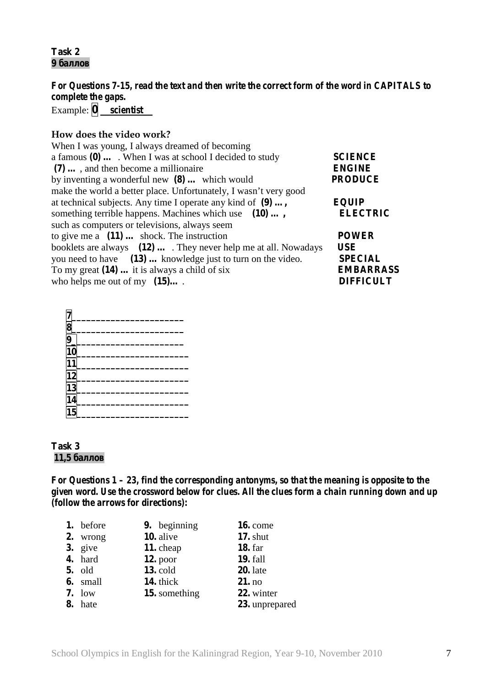### **Task 2 9 баллов**

*For Questions 7-15, read the text and then write the correct form of the word in CAPITALS to complete the gaps.* Example:  $\boxed{0}$  *\_\_scientist\_\_\_* 

### **How does the video work?**

| When I was young, I always dreamed of becoming                         |                  |
|------------------------------------------------------------------------|------------------|
| a famous $(0) \ldots$ . When I was at school I decided to study        | <b>SCIENCE</b>   |
| $(7)$ , and then become a millionaire                                  | <b>ENGINE</b>    |
| by inventing a wonderful new $(8)$ which would                         | <b>PRODUCE</b>   |
| make the world a better place. Unfortunately, I wasn't very good       |                  |
| at technical subjects. Any time I operate any kind of (9) ,            | <b>EQUIP</b>     |
| something terrible happens. Machines which use (10),                   | <b>ELECTRIC</b>  |
| such as computers or televisions, always seem                          |                  |
| to give me a $(11)$ shock. The instruction                             | <b>POWER</b>     |
| booklets are always $(12) \dots$ . They never help me at all. Nowadays | <b>USE</b>       |
| you need to have (13)  knowledge just to turn on the video.            | <b>SPECIAL</b>   |
| To my great $(14)$ it is always a child of six                         | <b>EMBARRASS</b> |
| who helps me out of my $(15)$                                          | <b>DIFFICULT</b> |

| $\frac{7}{8}$ $\frac{8}{9}$ |  |
|-----------------------------|--|
|                             |  |
| 10                          |  |
| 11                          |  |
| 12                          |  |
| 13                          |  |
| 14                          |  |
| $\overline{15}$             |  |

#### **Task 3**  $11,5$

*For Questions 1 – 23, find the corresponding antonyms, so that the meaning is opposite to the given word. Use the crossword below for clues. All the clues form a chain running down and up (follow the arrows for directions):*

| 1. before     | 9. beginning  | <b>16.</b> come |
|---------------|---------------|-----------------|
| 2. wrong      | 10. alive     | $17.$ shut      |
| $3.$ give     | 11. cheap     | <b>18.</b> far  |
| 4. hard       | $12.$ poor    | <b>19.</b> fall |
| <b>5.</b> old | 13. cold      | $20.$ late      |
| 6. small      | 14. thick     | 21. no          |
| $7.1$ ow      | 15. something | 22. winter      |
| 8. hate       |               | 23. unprepared  |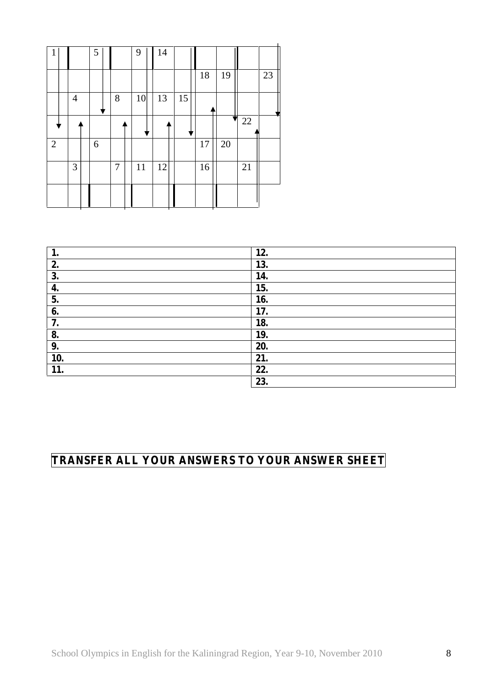| 1 |                | 5 |                | 9  | 14 |    |    |    |    |    |
|---|----------------|---|----------------|----|----|----|----|----|----|----|
|   |                |   |                |    |    |    | 18 | 19 |    | 23 |
|   | $\overline{4}$ |   | 8              | 10 | 13 | 15 |    |    |    |    |
|   |                |   |                |    |    |    |    |    | 22 |    |
| 2 |                | 6 |                |    |    |    | 17 | 20 |    |    |
|   | 3              |   | $\overline{7}$ | 11 | 12 |    | 16 |    | 21 |    |
|   |                |   |                |    |    |    |    |    |    |    |

| ı.  | 12. |
|-----|-----|
| 2.  | 13. |
| 3.  | 14. |
| 4.  | 15. |
| 5.  | 16. |
| 6.  | 17. |
| 7.  | 18. |
| 8.  | 19. |
| 9.  | 20. |
| 10. | 21. |
| 11. | 22. |
|     | 23. |

 $\ddot{\phantom{a}}$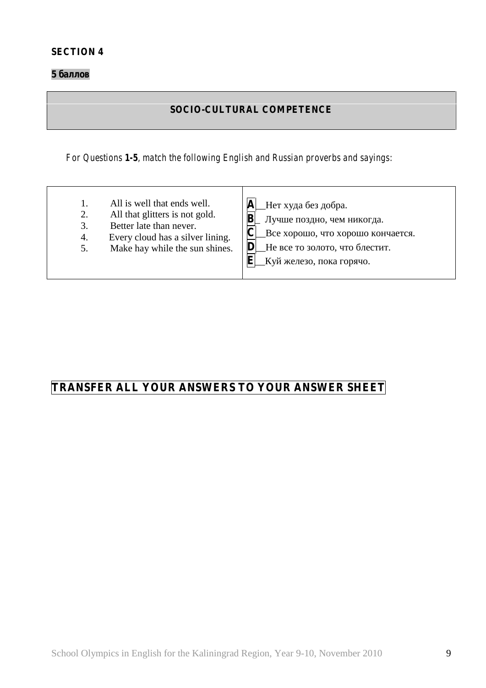**5 баллов**

### **SOCIO-CULTURAL COMPETENCE**

*For Questions 1-5, match the following English and Russian proverbs and sayings:*

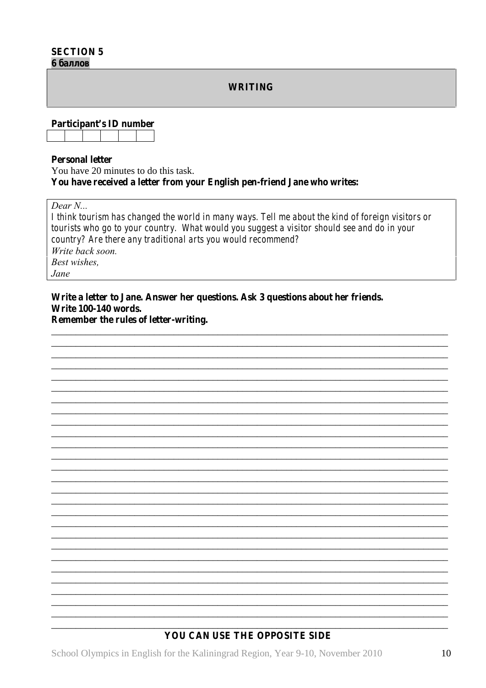| <b>SECTION 5</b> |  |
|------------------|--|
|------------------|--|

6

**WRITING** 

Participant's ID number

#### **Personal letter**

You have 20 minutes to do this task. You have received a letter from your English pen-friend Jane who writes:

Dear  $N_{\cdots}$ 

I think tourism has changed the world in many ways. Tell me about the kind of foreign visitors or tourists who go to your country. What would you suggest a visitor should see and do in your country? Are there any traditional arts you would recommend? Write back soon. **Best wishes.** Jane

Write a letter to Jane. Answer her questions. Ask 3 questions about her friends. Write 100-140 words.

Remember the rules of letter-writing.

### YOU CAN USE THE OPPOSITE SIDE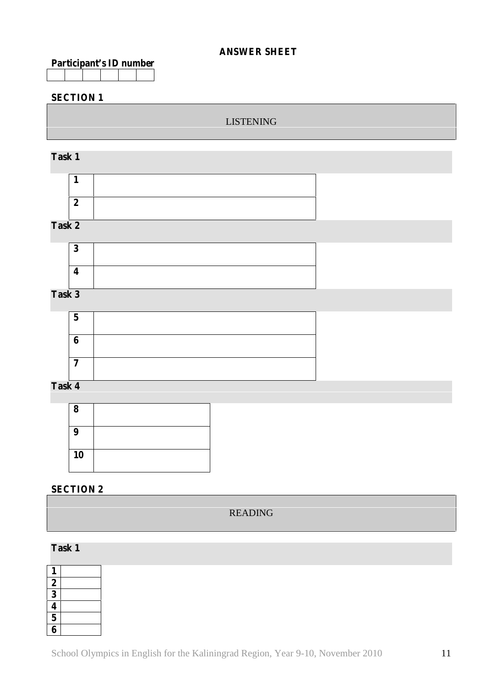### **ANSWER SHEET**

| Participant's ID number |  |  |  |  |  |
|-------------------------|--|--|--|--|--|
|                         |  |  |  |  |  |

### **SECTION 1**

### LISTENING

### **Task 1**

| $\rightarrow$ |  |
|---------------|--|

### **Task 2**



# **Task 3**

| o |  |
|---|--|
|   |  |

# **Task 4**

| 8  |  |
|----|--|
| 9  |  |
| 10 |  |

### **SECTION 2**

### READING

### **Task 1**

| 1                       |  |
|-------------------------|--|
| $\overline{2}$          |  |
| 3                       |  |
| 4                       |  |
| $\overline{\mathbf{5}}$ |  |
| 6                       |  |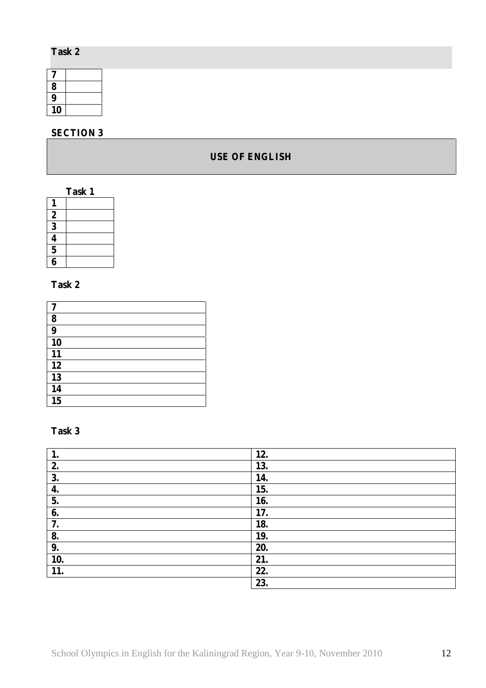### **Task 2**

| 8  |  |
|----|--|
| 9  |  |
| 10 |  |

# **SECTION 3**

### **USE OF ENGLISH**

| Task 1                  |  |  |  |
|-------------------------|--|--|--|
|                         |  |  |  |
| $\boldsymbol{2}$        |  |  |  |
| $\overline{\mathbf{3}}$ |  |  |  |
|                         |  |  |  |
| $\overline{\mathbf{5}}$ |  |  |  |
|                         |  |  |  |

# **Task 2**

| 7  |  |
|----|--|
| 8  |  |
| 9  |  |
| 10 |  |
| 11 |  |
| 12 |  |
| 13 |  |
| 14 |  |
| 15 |  |

### **Task 3**

| 1.  | 12. |
|-----|-----|
| 2.  | 13. |
| 3.  | 14. |
| 4.  | 15. |
| 5.  | 16. |
| 6.  | 17. |
| 7.  | 18. |
| 8.  | 19. |
| 9.  | 20. |
| 10. | 21. |
| 11. | 22. |
|     | 23. |